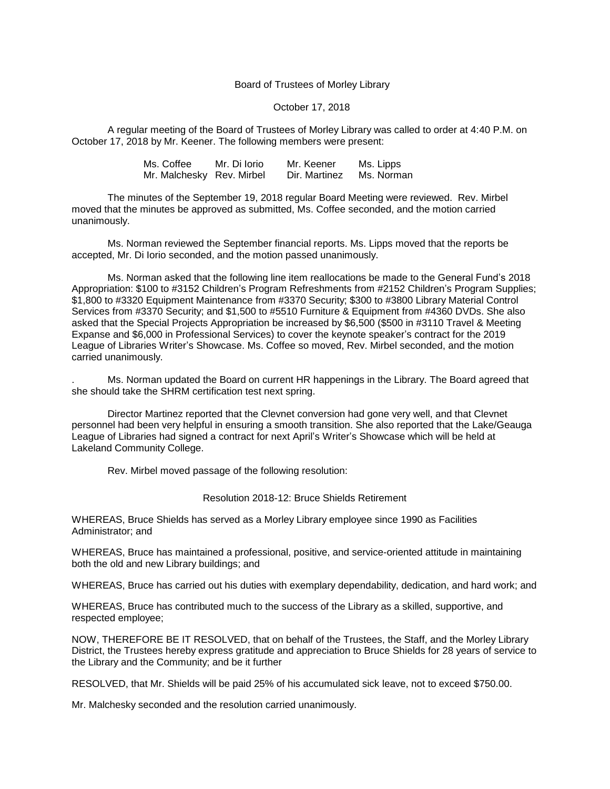## Board of Trustees of Morley Library

## October 17, 2018

A regular meeting of the Board of Trustees of Morley Library was called to order at 4:40 P.M. on October 17, 2018 by Mr. Keener. The following members were present:

| Ms. Coffee | Mr. Di Iorio              | Mr. Keener    | Ms. Lipps  |
|------------|---------------------------|---------------|------------|
|            | Mr. Malchesky Rev. Mirbel | Dir. Martinez | Ms. Norman |

The minutes of the September 19, 2018 regular Board Meeting were reviewed. Rev. Mirbel moved that the minutes be approved as submitted, Ms. Coffee seconded, and the motion carried unanimously.

Ms. Norman reviewed the September financial reports. Ms. Lipps moved that the reports be accepted, Mr. Di Iorio seconded, and the motion passed unanimously.

Ms. Norman asked that the following line item reallocations be made to the General Fund's 2018 Appropriation: \$100 to #3152 Children's Program Refreshments from #2152 Children's Program Supplies; \$1,800 to #3320 Equipment Maintenance from #3370 Security; \$300 to #3800 Library Material Control Services from #3370 Security; and \$1,500 to #5510 Furniture & Equipment from #4360 DVDs. She also asked that the Special Projects Appropriation be increased by \$6,500 (\$500 in #3110 Travel & Meeting Expanse and \$6,000 in Professional Services) to cover the keynote speaker's contract for the 2019 League of Libraries Writer's Showcase. Ms. Coffee so moved, Rev. Mirbel seconded, and the motion carried unanimously.

. Ms. Norman updated the Board on current HR happenings in the Library. The Board agreed that she should take the SHRM certification test next spring.

Director Martinez reported that the Clevnet conversion had gone very well, and that Clevnet personnel had been very helpful in ensuring a smooth transition. She also reported that the Lake/Geauga League of Libraries had signed a contract for next April's Writer's Showcase which will be held at Lakeland Community College.

Rev. Mirbel moved passage of the following resolution:

## Resolution 2018-12: Bruce Shields Retirement

WHEREAS, Bruce Shields has served as a Morley Library employee since 1990 as Facilities Administrator; and

WHEREAS, Bruce has maintained a professional, positive, and service-oriented attitude in maintaining both the old and new Library buildings; and

WHEREAS, Bruce has carried out his duties with exemplary dependability, dedication, and hard work; and

WHEREAS, Bruce has contributed much to the success of the Library as a skilled, supportive, and respected employee;

NOW, THEREFORE BE IT RESOLVED, that on behalf of the Trustees, the Staff, and the Morley Library District, the Trustees hereby express gratitude and appreciation to Bruce Shields for 28 years of service to the Library and the Community; and be it further

RESOLVED, that Mr. Shields will be paid 25% of his accumulated sick leave, not to exceed \$750.00.

Mr. Malchesky seconded and the resolution carried unanimously.